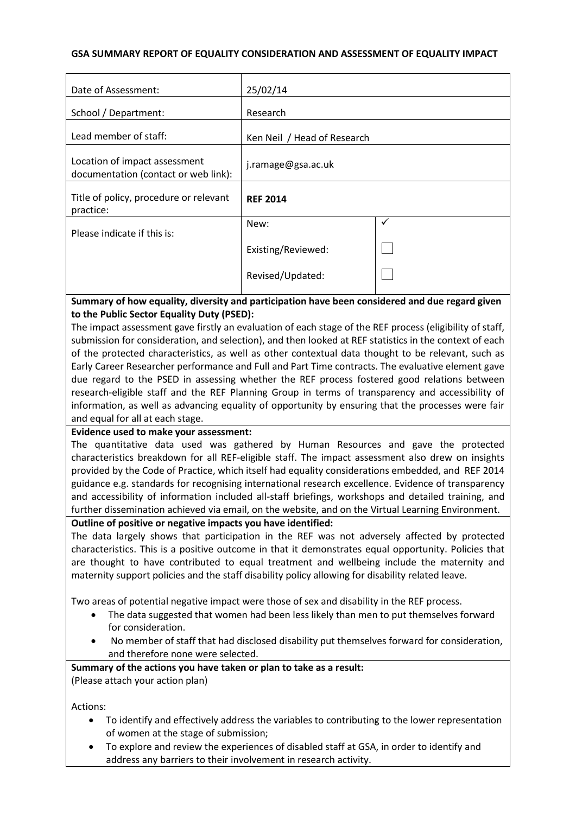### **GSA SUMMARY REPORT OF EQUALITY CONSIDERATION AND ASSESSMENT OF EQUALITY IMPACT**

| Date of Assessment:                                                   | 25/02/14                    |   |
|-----------------------------------------------------------------------|-----------------------------|---|
| School / Department:                                                  | Research                    |   |
| Lead member of staff:                                                 | Ken Neil / Head of Research |   |
| Location of impact assessment<br>documentation (contact or web link): | j.ramage@gsa.ac.uk          |   |
| Title of policy, procedure or relevant<br>practice:                   | <b>REF 2014</b>             |   |
| Please indicate if this is:                                           | New:                        | ✓ |
|                                                                       | Existing/Reviewed:          |   |
|                                                                       | Revised/Updated:            |   |

# **Summary of how equality, diversity and participation have been considered and due regard given to the Public Sector Equality Duty (PSED):**

The impact assessment gave firstly an evaluation of each stage of the REF process (eligibility of staff, submission for consideration, and selection), and then looked at REF statistics in the context of each of the protected characteristics, as well as other contextual data thought to be relevant, such as Early Career Researcher performance and Full and Part Time contracts. The evaluative element gave due regard to the PSED in assessing whether the REF process fostered good relations between research-eligible staff and the REF Planning Group in terms of transparency and accessibility of information, as well as advancing equality of opportunity by ensuring that the processes were fair and equal for all at each stage.

# **Evidence used to make your assessment:**

The quantitative data used was gathered by Human Resources and gave the protected characteristics breakdown for all REF-eligible staff. The impact assessment also drew on insights provided by the Code of Practice, which itself had equality considerations embedded, and REF 2014 guidance e.g. standards for recognising international research excellence. Evidence of transparency and accessibility of information included all-staff briefings, workshops and detailed training, and further dissemination achieved via email, on the website, and on the Virtual Learning Environment.

## **Outline of positive or negative impacts you have identified:**

The data largely shows that participation in the REF was not adversely affected by protected characteristics. This is a positive outcome in that it demonstrates equal opportunity. Policies that are thought to have contributed to equal treatment and wellbeing include the maternity and maternity support policies and the staff disability policy allowing for disability related leave.

Two areas of potential negative impact were those of sex and disability in the REF process.

- The data suggested that women had been less likely than men to put themselves forward for consideration.
- No member of staff that had disclosed disability put themselves forward for consideration, and therefore none were selected.

# **Summary of the actions you have taken or plan to take as a result:**

(Please attach your action plan)

Actions:

- To identify and effectively address the variables to contributing to the lower representation of women at the stage of submission;
- To explore and review the experiences of disabled staff at GSA, in order to identify and address any barriers to their involvement in research activity.